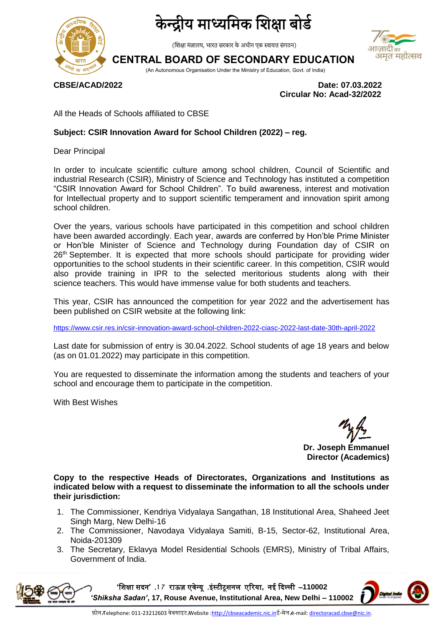

# द्रीय माध्यमिक शिक्षा बोर्ड

(शिक्षा मंत्रालय, भारत सरकार के अधीन एक स्वायत्त संगठन)

## **CENTRAL BOARD OF SECONDARY EDUCATION**

(An Autonomous Organisation Under the Ministry of Education, Govt. of India)

**CBSE/ACAD/2022 Date: 07.03.2022 Circular No: Acad-32/2022**

अमृत महोत्सव

All the Heads of Schools affiliated to CBSE

#### **Subject: CSIR Innovation Award for School Children (2022) – reg.**

Dear Principal

In order to inculcate scientific culture among school children, Council of Scientific and industrial Research (CSIR), Ministry of Science and Technology has instituted a competition "CSIR Innovation Award for School Children". To build awareness, interest and motivation for Intellectual property and to support scientific temperament and innovation spirit among school children.

Over the years, various schools have participated in this competition and school children have been awarded accordingly. Each year, awards are conferred by Hon'ble Prime Minister or Hon'ble Minister of Science and Technology during Foundation day of CSIR on 26<sup>th</sup> September. It is expected that more schools should participate for providing wider opportunities to the school students in their scientific career. In this competition, CSIR would also provide training in IPR to the selected meritorious students along with their science teachers. This would have immense value for both students and teachers.

This year, CSIR has announced the competition for year 2022 and the advertisement has been published on CSIR website at the following link:

<https://www.csir.res.in/csir-innovation-award-school-children-2022-ciasc-2022-last-date-30th-april-2022>

Last date for submission of entry is 30.04.2022. School students of age 18 years and below (as on 01.01.2022) may participate in this competition.

You are requested to disseminate the information among the students and teachers of your school and encourage them to participate in the competition.

With Best Wishes

**Dr. Joseph Emmanuel Director (Academics)**

**Copy to the respective Heads of Directorates, Organizations and Institutions as indicated below with a request to disseminate the information to all the schools under their jurisdiction:** 

- 1. The Commissioner, Kendriya Vidyalaya Sangathan, 18 Institutional Area, Shaheed Jeet Singh Marg, New Delhi-16
- 2. The Commissioner, Navodaya Vidyalaya Samiti, B-15, Sector-62, Institutional Area, Noida-201309
- 3. The Secretary, Eklavya Model Residential Schools (EMRS), Ministry of Tribal Affairs, Government of India.



**'**शिक्षा सदन**' ,7 1** राऊज़ एवेन्यू **,**इंस्टीटूिनम एररया**,** नई ददल्मी –**110002**  *'Shiksha Sadan'***, 17, Rouse Avenue, Institutional Area, New Delhi – 110002**